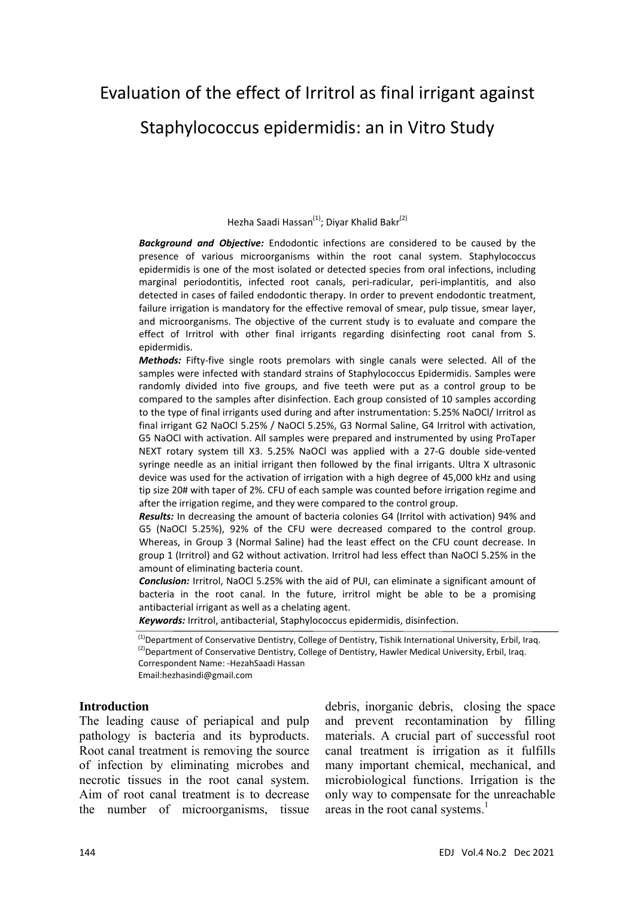# Evaluation of the effect of Irritrol as final irrigant against Staphylococcus epidermidis: an in Vitro Study

Hezha Saadi Hassan<sup>(1)</sup>: Divar Khalid Bakr<sup>(2)</sup>

*Background and Objective:* Endodontic infections are considered to be caused by the presence of various microorganisms within the root canal system. Staphylococcus epidermidis is one of the most isolated or detected species from oral infections, including marginal periodontitis, infected root canals, peri-radicular, peri-implantitis, and also detected in cases of failed endodontic therapy. In order to prevent endodontic treatment, failure irrigation is mandatory for the effective removal of smear, pulp tissue, smear layer, and microorganisms. The objective of the current study is to evaluate and compare the effect of Irritrol with other final irrigants regarding disinfecting root canal from S. epidermidis.

*Methods:* Fifty‐five single roots premolars with single canals were selected. All of the samples were infected with standard strains of Staphylococcus Epidermidis. Samples were randomly divided into five groups, and five teeth were put as a control group to be compared to the samples after disinfection. Each group consisted of 10 samples according to the type of final irrigants used during and after instrumentation: 5.25% NaOCl/ Irritrol as final irrigant G2 NaOCl 5.25% / NaOCl 5.25%, G3 Normal Saline, G4 Irritrol with activation, G5 NaOCl with activation. All samples were prepared and instrumented by using ProTaper NEXT rotary system till X3. 5.25% NaOCl was applied with a 27‐G double side‐vented syringe needle as an initial irrigant then followed by the final irrigants. Ultra X ultrasonic device was used for the activation of irrigation with a high degree of 45,000 kHz and using tip size 20# with taper of 2%. CFU of each sample was counted before irrigation regime and after the irrigation regime, and they were compared to the control group.

*Results:* In decreasing the amount of bacteria colonies G4 (Irritol with activation) 94% and G5 (NaOCl 5.25%), 92% of the CFU were decreased compared to the control group. Whereas, in Group 3 (Normal Saline) had the least effect on the CFU count decrease. In group 1 (Irritrol) and G2 without activation. Irritrol had less effect than NaOCl 5.25% in the amount of eliminating bacteria count.

*Conclusion:* Irritrol, NaOCl 5.25% with the aid of PUI, can eliminate a significant amount of bacteria in the root canal. In the future, irritrol might be able to be a promising antibacterial irrigant as well as a chelating agent.

*Keywords:* Irritrol, antibacterial, Staphylococcus epidermidis, disinfection.

<sup>(1)</sup>Department of Conservative Dentistry, College of Dentistry, Tishik International University, Erbil, Iraq. <sup>(2)</sup>Department of Conservative Dentistry, College of Dentistry, Hawler Medical University, Erbil, Iraq. Correspondent Name: ‐HezahSaadi Hassan Email:hezhasindi@gmail.com

#### **Introduction**

The leading cause of periapical and pulp pathology is bacteria and its byproducts. Root canal treatment is removing the source of infection by eliminating microbes and necrotic tissues in the root canal system. Aim of root canal treatment is to decrease the number of microorganisms, tissue

debris, inorganic debris, closing the space and prevent recontamination by filling materials. A crucial part of successful root canal treatment is irrigation as it fulfills many important chemical, mechanical, and microbiological functions. Irrigation is the only way to compensate for the unreachable areas in the root canal systems.<sup>1</sup>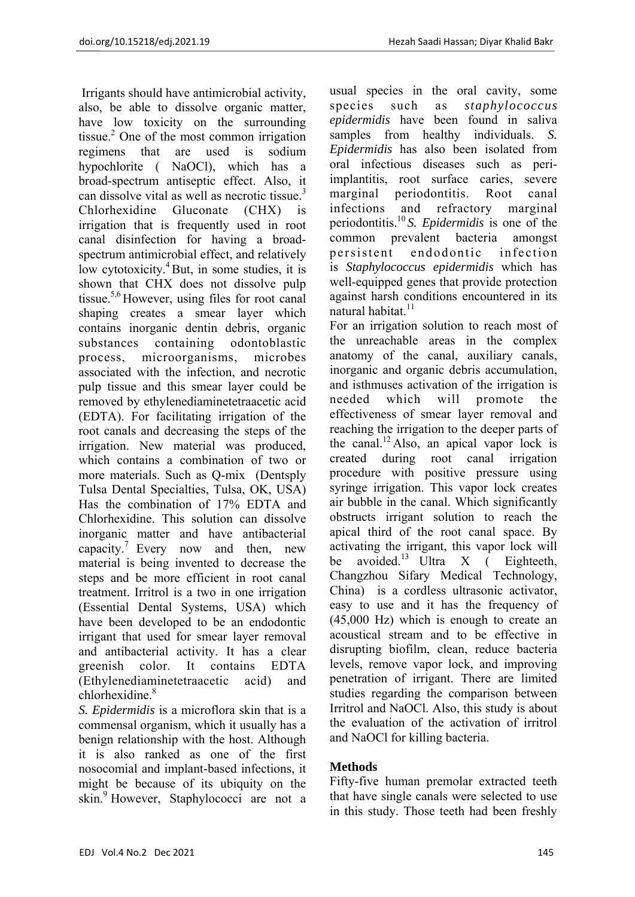Irrigants should have antimicrobial activity, also, be able to dissolve organic matter, have low toxicity on the surrounding tissue.<sup>2</sup> One of the most common irrigation regimens that are used is sodium hypochlorite ( NaOCl), which has a broad-spectrum antiseptic effect. Also, it can dissolve vital as well as necrotic tissue.<sup>3</sup> Chlorhexidine Gluconate (CHX) is irrigation that is frequently used in root canal disinfection for having a broadspectrum antimicrobial effect, and relatively low cytotoxicity.<sup>4</sup> But, in some studies, it is shown that CHX does not dissolve pulp tissue.5,6 However, using files for root canal shaping creates a smear layer which contains inorganic dentin debris, organic substances containing odontoblastic process, microorganisms, microbes associated with the infection, and necrotic pulp tissue and this smear layer could be removed by ethylenediaminetetraacetic acid (EDTA). For facilitating irrigation of the root canals and decreasing the steps of the irrigation. New material was produced, which contains a combination of two or more materials. Such as Q-mix (Dentsply Tulsa Dental Specialties, Tulsa, OK, USA) Has the combination of 17% EDTA and Chlorhexidine. This solution can dissolve inorganic matter and have antibacterial capacity.<sup>7</sup> Every now and then, new material is being invented to decrease the steps and be more efficient in root canal treatment. Irritrol is a two in one irrigation (Essential Dental Systems, USA) which have been developed to be an endodontic irrigant that used for smear layer removal and antibacterial activity. It has a clear greenish color. It contains EDTA (Ethylenediaminetetraacetic acid) and chlorhexidine<sup>8</sup>

*S. Epidermidis* is a microflora skin that is a commensal organism, which it usually has a benign relationship with the host. Although it is also ranked as one of the first nosocomial and implant-based infections, it might be because of its ubiquity on the skin.<sup>9</sup> However, Staphylococci are not a usual species in the oral cavity, some species such as *staphylococcus epidermidis* have been found in saliva samples from healthy individuals. *S. Epidermidis* has also been isolated from oral infectious diseases such as periimplantitis, root surface caries, severe marginal periodontitis. Root canal infections and refractory marginal periodontitis.10 *S. Epidermidis* is one of the common prevalent bacteria amongst persistent endodontic infection is *Staphylococcus epidermidis* which has well-equipped genes that provide protection against harsh conditions encountered in its natural habitat $11$ 

For an irrigation solution to reach most of the unreachable areas in the complex anatomy of the canal, auxiliary canals, inorganic and organic debris accumulation, and isthmuses activation of the irrigation is needed which will promote the effectiveness of smear layer removal and reaching the irrigation to the deeper parts of the canal.<sup>12</sup> Also, an apical vapor lock is created during root canal irrigation procedure with positive pressure using syringe irrigation. This vapor lock creates air bubble in the canal. Which significantly obstructs irrigant solution to reach the apical third of the root canal space. By activating the irrigant, this vapor lock will be avoided.<sup>13</sup> Ultra X ( Eighteeth, Changzhou Sifary Medical Technology, China) is a cordless ultrasonic activator, easy to use and it has the frequency of (45,000 Hz) which is enough to create an acoustical stream and to be effective in disrupting biofilm, clean, reduce bacteria levels, remove vapor lock, and improving penetration of irrigant. There are limited studies regarding the comparison between Irritrol and NaOCl. Also, this study is about the evaluation of the activation of irritrol and NaOCl for killing bacteria.

# **Methods**

Fifty-five human premolar extracted teeth that have single canals were selected to use in this study. Those teeth had been freshly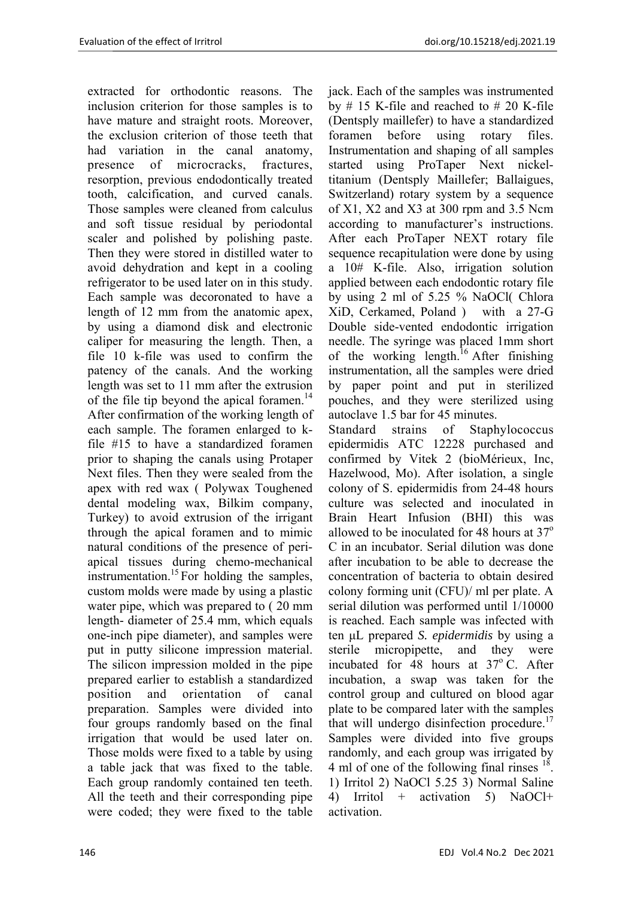extracted for orthodontic reasons. The inclusion criterion for those samples is to have mature and straight roots. Moreover, the exclusion criterion of those teeth that had variation in the canal anatomy, presence of microcracks, fractures, resorption, previous endodontically treated tooth, calcification, and curved canals. Those samples were cleaned from calculus and soft tissue residual by periodontal scaler and polished by polishing paste. Then they were stored in distilled water to avoid dehydration and kept in a cooling refrigerator to be used later on in this study. Each sample was decoronated to have a length of 12 mm from the anatomic apex, by using a diamond disk and electronic caliper for measuring the length. Then, a file 10 k-file was used to confirm the patency of the canals. And the working length was set to 11 mm after the extrusion of the file tip beyond the apical foramen.<sup>14</sup> After confirmation of the working length of each sample. The foramen enlarged to kfile #15 to have a standardized foramen prior to shaping the canals using Protaper Next files. Then they were sealed from the apex with red wax ( Polywax Toughened dental modeling wax, Bilkim company, Turkey) to avoid extrusion of the irrigant through the apical foramen and to mimic natural conditions of the presence of periapical tissues during chemo-mechanical instrumentation.<sup>15</sup> For holding the samples, custom molds were made by using a plastic water pipe, which was prepared to ( 20 mm length- diameter of 25.4 mm, which equals one-inch pipe diameter), and samples were put in putty silicone impression material. The silicon impression molded in the pipe prepared earlier to establish a standardized position and orientation of canal preparation. Samples were divided into four groups randomly based on the final irrigation that would be used later on. Those molds were fixed to a table by using a table jack that was fixed to the table. Each group randomly contained ten teeth. All the teeth and their corresponding pipe were coded; they were fixed to the table

jack. Each of the samples was instrumented by # 15 K-file and reached to # 20 K-file (Dentsply maillefer) to have a standardized foramen before using rotary files. Instrumentation and shaping of all samples started using ProTaper Next nickeltitanium (Dentsply Maillefer; Ballaigues, Switzerland) rotary system by a sequence of X1, X2 and X3 at 300 rpm and 3.5 Ncm according to manufacturer's instructions. After each ProTaper NEXT rotary file sequence recapitulation were done by using a 10# K-file. Also, irrigation solution applied between each endodontic rotary file by using 2 ml of 5.25 % NaOCl( Chlora XiD, Cerkamed, Poland ) with a 27-G Double side-vented endodontic irrigation needle. The syringe was placed 1mm short of the working length.<sup>16</sup> After finishing instrumentation, all the samples were dried by paper point and put in sterilized pouches, and they were sterilized using autoclave 1.5 bar for 45 minutes.

Standard strains of Staphylococcus epidermidis ATC 12228 purchased and confirmed by Vitek 2 (bioMérieux, Inc, Hazelwood, Mo). After isolation, a single colony of S. epidermidis from 24-48 hours culture was selected and inoculated in Brain Heart Infusion (BHI) this was allowed to be inoculated for 48 hours at  $37^\circ$ C in an incubator. Serial dilution was done after incubation to be able to decrease the concentration of bacteria to obtain desired colony forming unit (CFU)/ ml per plate. A serial dilution was performed until 1/10000 is reached. Each sample was infected with ten μL prepared *S. epidermidis* by using a sterile micropipette, and they were incubated for 48 hours at  $37^{\circ}$  C. After incubation, a swap was taken for the control group and cultured on blood agar plate to be compared later with the samples that will undergo disinfection procedure.<sup>17</sup> Samples were divided into five groups randomly, and each group was irrigated by 4 ml of one of the following final rinses <sup>18</sup>. 1) Irritol 2) NaOCl 5.25 3) Normal Saline 4) Irritol + activation 5) NaOCl+ activation.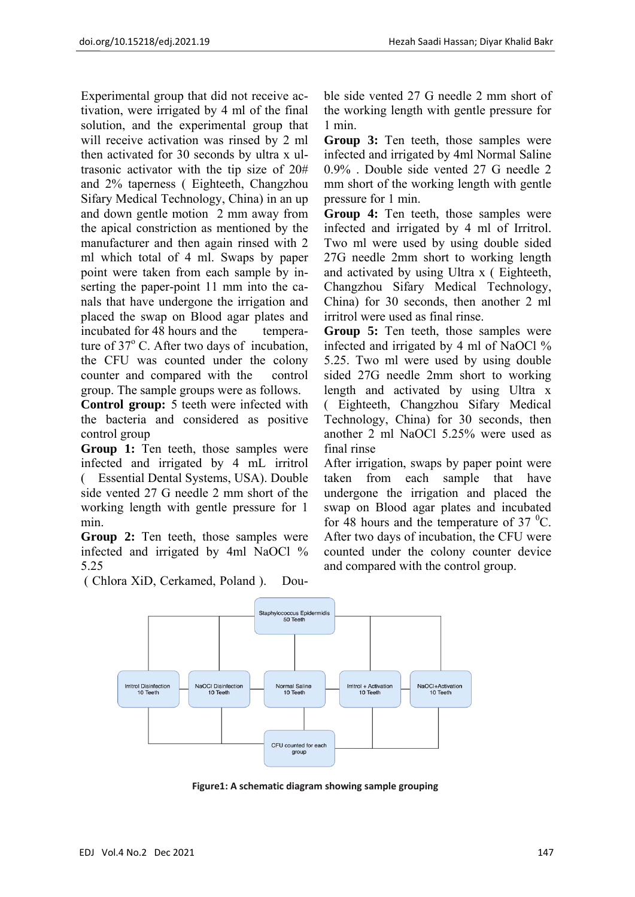Experimental group that did not receive activation, were irrigated by 4 ml of the final solution, and the experimental group that will receive activation was rinsed by 2 ml then activated for 30 seconds by ultra x ultrasonic activator with the tip size of 20# and 2% taperness ( Eighteeth, Changzhou Sifary Medical Technology, China) in an up and down gentle motion 2 mm away from the apical constriction as mentioned by the manufacturer and then again rinsed with 2 ml which total of 4 ml. Swaps by paper point were taken from each sample by inserting the paper-point 11 mm into the canals that have undergone the irrigation and placed the swap on Blood agar plates and incubated for 48 hours and the temperature of 37° C. After two days of incubation, the CFU was counted under the colony counter and compared with the control group. The sample groups were as follows.

**Control group:** 5 teeth were infected with the bacteria and considered as positive control group

**Group 1:** Ten teeth, those samples were infected and irrigated by 4 mL irritrol ( Essential Dental Systems, USA). Double side vented 27 G needle 2 mm short of the working length with gentle pressure for 1 min.

**Group 2:** Ten teeth, those samples were infected and irrigated by 4ml NaOCl % 5.25

( Chlora XiD, Cerkamed, Poland ). Dou-

ble side vented 27 G needle 2 mm short of the working length with gentle pressure for 1 min.

**Group 3:** Ten teeth, those samples were infected and irrigated by 4ml Normal Saline 0.9% . Double side vented 27 G needle 2 mm short of the working length with gentle pressure for 1 min.

**Group 4:** Ten teeth, those samples were infected and irrigated by 4 ml of Irritrol. Two ml were used by using double sided 27G needle 2mm short to working length and activated by using Ultra x ( Eighteeth, Changzhou Sifary Medical Technology, China) for 30 seconds, then another 2 ml irritrol were used as final rinse.

**Group 5:** Ten teeth, those samples were infected and irrigated by 4 ml of NaOCl % 5.25. Two ml were used by using double sided 27G needle 2mm short to working length and activated by using Ultra x ( Eighteeth, Changzhou Sifary Medical Technology, China) for 30 seconds, then another 2 ml NaOCl 5.25% were used as final rinse

After irrigation, swaps by paper point were taken from each sample that have undergone the irrigation and placed the swap on Blood agar plates and incubated for 48 hours and the temperature of  $37 \text{ }^0C$ . After two days of incubation, the CFU were counted under the colony counter device and compared with the control group.



**Figure1: A schematic diagram showing sample grouping**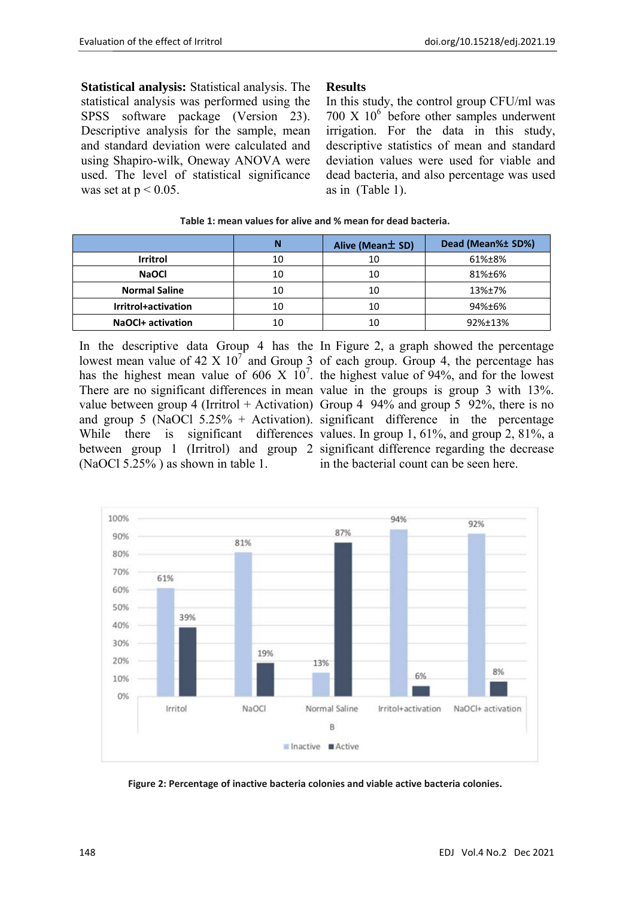**Statistical analysis:** Statistical analysis. The statistical analysis was performed using the SPSS software package (Version 23). Descriptive analysis for the sample, mean and standard deviation were calculated and using Shapiro-wilk, Oneway ANOVA were used. The level of statistical significance was set at  $p < 0.05$ .

## **Results**

In this study, the control group CFU/ml was  $700 \text{ X } 10^6$  before other samples underwent irrigation. For the data in this study, descriptive statistics of mean and standard deviation values were used for viable and dead bacteria, and also percentage was used as in (Table 1).

|                          |    | Alive (Mean ± SD) | Dead (Mean%± SD%) |
|--------------------------|----|-------------------|-------------------|
| <b>Irritrol</b>          | 10 | 10                | 61%±8%            |
| <b>NaOCI</b>             | 10 | 10                | 81%±6%            |
| <b>Normal Saline</b>     | 10 | 10                | 13%±7%            |
| Irritrol+activation      | 10 | 10                | 94%±6%            |
| <b>NaOCI+ activation</b> | 10 | 10                | 92%±13%           |

#### **Table 1: mean values for alive and % mean for dead bacteria.**

In the descriptive data Group 4 has the In Figure 2, a graph showed the percentage lowest mean value of  $42 \text{ X } 10^7$  and Group 3 of each group. Group 4, the percentage has has the highest mean value of 606 X  $10^7$ . the highest value of 94%, and for the lowest There are no significant differences in mean value in the groups is group 3 with 13%. value between group 4 (Irritrol + Activation) Group 4 94% and group 5 92%, there is no and group 5 (NaOCl 5.25% + Activation). significant difference in the percentage While there is significant differences values. In group 1, 61%, and group 2, 81%, a between group 1 (Irritrol) and group 2 significant difference regarding the decrease (NaOCl 5.25% ) as shown in table 1.

in the bacterial count can be seen here.



**Figure 2: Percentage of inactive bacteria colonies and viable active bacteria colonies.**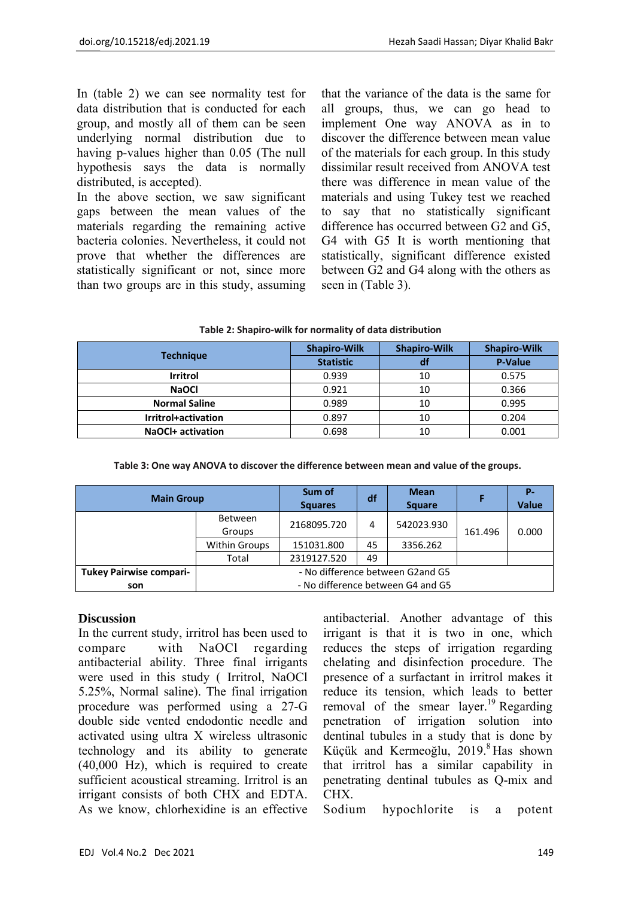In (table 2) we can see normality test for data distribution that is conducted for each group, and mostly all of them can be seen underlying normal distribution due to having p-values higher than 0.05 (The null hypothesis says the data is normally distributed, is accepted).

In the above section, we saw significant gaps between the mean values of the materials regarding the remaining active bacteria colonies. Nevertheless, it could not prove that whether the differences are statistically significant or not, since more than two groups are in this study, assuming that the variance of the data is the same for all groups, thus, we can go head to implement One way ANOVA as in to discover the difference between mean value of the materials for each group. In this study dissimilar result received from ANOVA test there was difference in mean value of the materials and using Tukey test we reached to say that no statistically significant difference has occurred between G2 and G5, G4 with G5 It is worth mentioning that statistically, significant difference existed between G2 and G4 along with the others as seen in (Table 3).

| Table 2: Shapiro-wilk for normality of data distribution |
|----------------------------------------------------------|
|----------------------------------------------------------|

|                      | <b>Shapiro-Wilk</b> | <b>Shapiro-Wilk</b> | <b>Shapiro-Wilk</b> |
|----------------------|---------------------|---------------------|---------------------|
| <b>Technique</b>     | <b>Statistic</b>    | df                  | <b>P-Value</b>      |
| Irritrol             | 0.939               | 10                  | 0.575               |
| <b>NaOCI</b>         | 0.921               | 10                  | 0.366               |
| <b>Normal Saline</b> | 0.989               | 10                  | 0.995               |
| Irritrol+activation  | 0.897               | 10                  | 0.204               |
| NaOCI+ activation    | 0.698               | 10                  | 0.001               |

#### **Table 3: One way ANOVA to discover the difference between mean and value of the groups.**

| <b>Main Group</b>              |                                   | Sum of<br><b>Squares</b> | df | <b>Mean</b><br><b>Square</b> |         | <b>P-</b><br><b>Value</b> |
|--------------------------------|-----------------------------------|--------------------------|----|------------------------------|---------|---------------------------|
|                                | Between<br>Groups                 | 2168095.720              | 4  | 542023.930                   | 161.496 | 0.000                     |
|                                | <b>Within Groups</b>              | 151031.800               | 45 | 3356.262                     |         |                           |
|                                | Total                             | 2319127.520              | 49 |                              |         |                           |
| <b>Tukey Pairwise compari-</b> | - No difference between G2and G5  |                          |    |                              |         |                           |
| son                            | - No difference between G4 and G5 |                          |    |                              |         |                           |

## **Discussion**

In the current study, irritrol has been used to compare with NaOCl regarding antibacterial ability. Three final irrigants were used in this study ( Irritrol, NaOCl 5.25%, Normal saline). The final irrigation procedure was performed using a 27-G double side vented endodontic needle and activated using ultra X wireless ultrasonic technology and its ability to generate (40,000 Hz), which is required to create sufficient acoustical streaming. Irritrol is an irrigant consists of both CHX and EDTA. As we know, chlorhexidine is an effective

antibacterial. Another advantage of this irrigant is that it is two in one, which reduces the steps of irrigation regarding chelating and disinfection procedure. The presence of a surfactant in irritrol makes it reduce its tension, which leads to better removal of the smear layer.<sup>19</sup> Regarding penetration of irrigation solution into dentinal tubules in a study that is done by Küçük and Kermeoğlu,  $2019$ .<sup>8</sup> Has shown that irritrol has a similar capability in penetrating dentinal tubules as Q-mix and CHX.

Sodium hypochlorite is a potent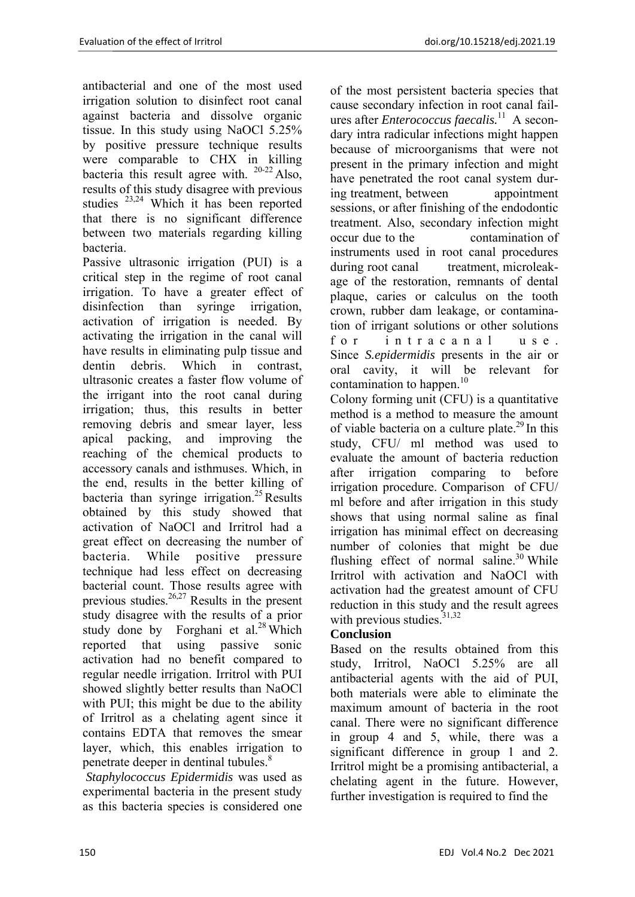antibacterial and one of the most used irrigation solution to disinfect root canal against bacteria and dissolve organic tissue. In this study using NaOCl 5.25% by positive pressure technique results were comparable to CHX in killing bacteria this result agree with.  $20-22$  Also, results of this study disagree with previous studies 23,24 Which it has been reported that there is no significant difference between two materials regarding killing bacteria.

Passive ultrasonic irrigation (PUI) is a critical step in the regime of root canal irrigation. To have a greater effect of disinfection than syringe irrigation, activation of irrigation is needed. By activating the irrigation in the canal will have results in eliminating pulp tissue and dentin debris. Which in contrast, ultrasonic creates a faster flow volume of the irrigant into the root canal during irrigation; thus, this results in better removing debris and smear layer, less apical packing, and improving the reaching of the chemical products to accessory canals and isthmuses. Which, in the end, results in the better killing of bacteria than syringe irrigation.<sup>25</sup> Results obtained by this study showed that activation of NaOCl and Irritrol had a great effect on decreasing the number of bacteria. While positive pressure technique had less effect on decreasing bacterial count. Those results agree with previous studies. $26,27$  Results in the present study disagree with the results of a prior study done by Forghani et  $al.^{28}$  Which reported that using passive sonic activation had no benefit compared to regular needle irrigation. Irritrol with PUI showed slightly better results than NaOCl with PUI; this might be due to the ability of Irritrol as a chelating agent since it contains EDTA that removes the smear layer, which, this enables irrigation to penetrate deeper in dentinal tubules.<sup>8</sup>

 *Staphylococcus Epidermidis* was used as experimental bacteria in the present study as this bacteria species is considered one

of the most persistent bacteria species that cause secondary infection in root canal failures after *Enterococcus faecalis.*<sup>11</sup>A secondary intra radicular infections might happen because of microorganisms that were not present in the primary infection and might have penetrated the root canal system during treatment, between appointment sessions, or after finishing of the endodontic treatment. Also, secondary infection might occur due to the contamination of instruments used in root canal procedures during root canal treatment, microleakage of the restoration, remnants of dental plaque, caries or calculus on the tooth crown, rubber dam leakage, or contamination of irrigant solutions or other solutions for intracanal use Since *S.epidermidis* presents in the air or oral cavity, it will be relevant for contamination to happen.<sup>10</sup>

Colony forming unit (CFU) is a quantitative method is a method to measure the amount of viable bacteria on a culture plate.<sup>29</sup> In this study, CFU/ ml method was used to evaluate the amount of bacteria reduction after irrigation comparing to before irrigation procedure. Comparison of CFU/ ml before and after irrigation in this study shows that using normal saline as final irrigation has minimal effect on decreasing number of colonies that might be due flushing effect of normal saline.<sup>30</sup> While Irritrol with activation and NaOCl with activation had the greatest amount of CFU reduction in this study and the result agrees with previous studies. $31,32$ 

# **Conclusion**

Based on the results obtained from this study, Irritrol, NaOCl 5.25% are all antibacterial agents with the aid of PUI, both materials were able to eliminate the maximum amount of bacteria in the root canal. There were no significant difference in group 4 and 5, while, there was a significant difference in group 1 and 2. Irritrol might be a promising antibacterial, a chelating agent in the future. However, further investigation is required to find the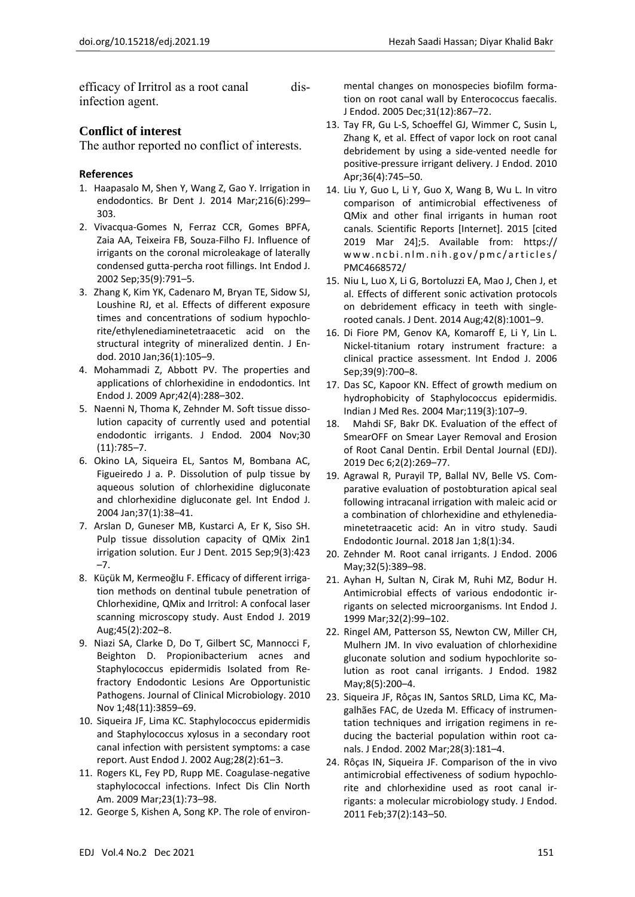efficacy of Irritrol as a root canal disinfection agent.

## **Conflict of interest**

The author reported no conflict of interests.

### **References**

- 1. Haapasalo M, Shen Y, Wang Z, Gao Y. Irrigation in endodontics. Br Dent J. 2014 Mar;216(6):299– 303.
- 2. Vivacqua‐Gomes N, Ferraz CCR, Gomes BPFA, Zaia AA, Teixeira FB, Souza‐Filho FJ. Influence of irrigants on the coronal microleakage of laterally condensed gutta‐percha root fillings. Int Endod J. 2002 Sep;35(9):791–5.
- 3. Zhang K, Kim YK, Cadenaro M, Bryan TE, Sidow SJ, Loushine RJ, et al. Effects of different exposure times and concentrations of sodium hypochlo‐ rite/ethylenediaminetetraacetic acid on the structural integrity of mineralized dentin. J En‐ dod. 2010 Jan;36(1):105–9.
- 4. Mohammadi Z, Abbott PV. The properties and applications of chlorhexidine in endodontics. Int Endod J. 2009 Apr;42(4):288–302.
- 5. Naenni N, Thoma K, Zehnder M. Soft tissue dissolution capacity of currently used and potential endodontic irrigants. J Endod. 2004 Nov;30 (11):785–7.
- 6. Okino LA, Siqueira EL, Santos M, Bombana AC, Figueiredo J a. P. Dissolution of pulp tissue by aqueous solution of chlorhexidine digluconate and chlorhexidine digluconate gel. Int Endod J. 2004 Jan;37(1):38–41.
- 7. Arslan D, Guneser MB, Kustarci A, Er K, Siso SH. Pulp tissue dissolution capacity of QMix 2in1 irrigation solution. Eur J Dent. 2015 Sep;9(3):423 –7.
- 8. Küçük M, Kermeoğlu F. Efficacy of different irrigation methods on dentinal tubule penetration of Chlorhexidine, QMix and Irritrol: A confocal laser scanning microscopy study. Aust Endod J. 2019 Aug;45(2):202–8.
- 9. Niazi SA, Clarke D, Do T, Gilbert SC, Mannocci F, Beighton D. Propionibacterium acnes and Staphylococcus epidermidis Isolated from Re‐ fractory Endodontic Lesions Are Opportunistic Pathogens. Journal of Clinical Microbiology. 2010 Nov 1;48(11):3859–69.
- 10. Siqueira JF, Lima KC. Staphylococcus epidermidis and Staphylococcus xylosus in a secondary root canal infection with persistent symptoms: a case report. Aust Endod J. 2002 Aug;28(2):61–3.
- 11. Rogers KL, Fey PD, Rupp ME. Coagulase-negative staphylococcal infections. Infect Dis Clin North Am. 2009 Mar;23(1):73–98.
- 12. George S, Kishen A, Song KP. The role of environ‐

mental changes on monospecies biofilm forma‐ tion on root canal wall by Enterococcus faecalis. J Endod. 2005 Dec;31(12):867–72.

- 13. Tay FR, Gu L‐S, Schoeffel GJ, Wimmer C, Susin L, Zhang K, et al. Effect of vapor lock on root canal debridement by using a side‐vented needle for positive‐pressure irrigant delivery. J Endod. 2010 Apr;36(4):745–50.
- 14. Liu Y, Guo L, Li Y, Guo X, Wang B, Wu L. In vitro comparison of antimicrobial effectiveness of QMix and other final irrigants in human root canals. Scientific Reports [Internet]. 2015 [cited 2019 Mar 24];5. Available from: https:// w w w.ncbi.nlm.nih.gov/pmc/articles/ PMC4668572/
- 15. Niu L, Luo X, Li G, Bortoluzzi EA, Mao J, Chen J, et al. Effects of different sonic activation protocols on debridement efficacy in teeth with single‐ rooted canals. J Dent. 2014 Aug;42(8):1001–9.
- 16. Di Fiore PM, Genov KA, Komaroff E, Li Y, Lin L. Nickel‐titanium rotary instrument fracture: a clinical practice assessment. Int Endod J. 2006 Sep;39(9):700–8.
- 17. Das SC, Kapoor KN. Effect of growth medium on hydrophobicity of Staphylococcus epidermidis. Indian J Med Res. 2004 Mar;119(3):107–9.
- 18. Mahdi SF, Bakr DK. Evaluation of the effect of SmearOFF on Smear Layer Removal and Erosion of Root Canal Dentin. Erbil Dental Journal (EDJ). 2019 Dec 6;2(2):269–77.
- 19. Agrawal R, Purayil TP, Ballal NV, Belle VS. Com‐ parative evaluation of postobturation apical seal following intracanal irrigation with maleic acid or a combination of chlorhexidine and ethylenedia‐ minetetraacetic acid: An in vitro study. Saudi Endodontic Journal. 2018 Jan 1;8(1):34.
- 20. Zehnder M. Root canal irrigants. J Endod. 2006 May;32(5):389–98.
- 21. Ayhan H, Sultan N, Cirak M, Ruhi MZ, Bodur H. Antimicrobial effects of various endodontic ir‐ rigants on selected microorganisms. Int Endod J. 1999 Mar;32(2):99–102.
- 22. Ringel AM, Patterson SS, Newton CW, Miller CH, Mulhern JM. In vivo evaluation of chlorhexidine gluconate solution and sodium hypochlorite so‐ lution as root canal irrigants. J Endod. 1982 May;8(5):200–4.
- 23. Siqueira JF, Rôças IN, Santos SRLD, Lima KC, Ma‐ galhães FAC, de Uzeda M. Efficacy of instrumen‐ tation techniques and irrigation regimens in re‐ ducing the bacterial population within root ca‐ nals. J Endod. 2002 Mar;28(3):181–4.
- 24. Rôças IN, Siqueira JF. Comparison of the in vivo antimicrobial effectiveness of sodium hypochlo‐ rite and chlorhexidine used as root canal ir‐ rigants: a molecular microbiology study. J Endod. 2011 Feb;37(2):143–50.